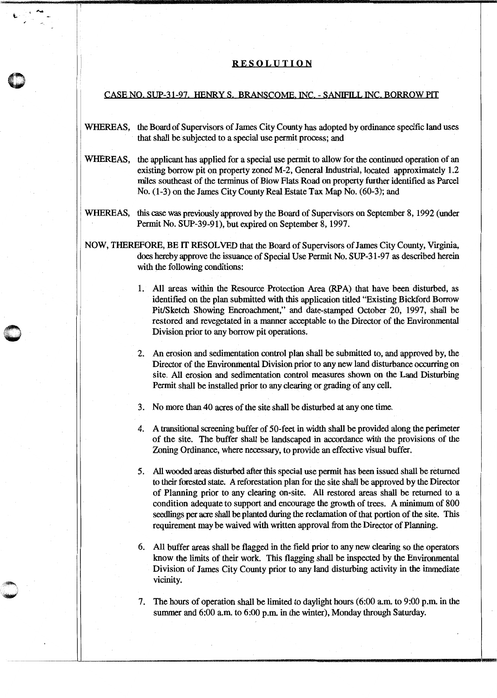## RESOLUTION

' .....

## CASE NO. SUP-31-97. HENRY S. BRANSCOME. INC. - SANIFILL INC. BORROW PIT

- WHEREAS, the Board of Supervisors of James City County has adopted by ordinance specific land uses that shall be subjected to a special use permit process; and
- WHEREAS, the applicant has applied for a special use permit to allow for the continued operation of an existing borrow pit on property zoned M-2, General fudustrial, located approximately 1.2 miles southeast of the terminus of Blow Flats Road on property further identified as Parcel No. (1-3) on the James City County Real Estate Tax Map No. (60-3); and
- WHEREAS, this case was previously approved by the Board of Supervisors on September 8, 1992 (under Permit No. SUP-39-91), but expired on September 8, 1997.
- NOW, THEREFORE, BE IT RESOLVED that the Board of Supervisors of James City County, Virginia, does hereby approve the issuance of Special Use Permit No. SUP-31-97 as described herein with the following conditions:
	- 1. All areas within the Resource Protection Area (RPA) that have been disturbed, as identified on the plan submitted with this application titled "Existing Bickford Borrow Pit/Sketch Showing Encroachment," and date-stamped October 20, 1997, shall be restored and revegetated in a manner acceptable to the Director of the Environmental Division prior to any borrow pit operations.
	- 2. An erosion and sedimentation control plan shall be submitted to, and approved by, the Director of the Environmental Division prior to any new land disturbance occurring on site. All erosion and sedimentation control measures shown on the Land Disturbing Permit shall be installed prior to any clearing or grading of any cell.
	- 3. No more than 40 acres of the site shall be disturbed at any one time.
	- 4. A transitional screening buffer of 50-feet in width shall be provided along the perimeter of the site. The buffer shall be landscaped in accordance with the provisions of the Zoning Ordinance, where necessary, to provide an effective visual buffer.
	- 5. All wooded areas disturbed after this special use permit has been issued shall be returned to their forested state. A reforestation plan for the site shall be approved by the Director of Planning prior to any clearing on-site. All restored areas shall be returned to a condition adequate to support and encourage the growth of trees. A minimum of 800 seedlings per acre shall be planted during the reclamation of that portion of the site. This requirement may be waived with written approval from the Director of Planning.
	- 6. All buffer areas shall be flagged in the field prior to any new clearing so the operators know the limits of their work. This flagging shall be inspected by the Environmental Division of James City County prior to any land disturbing activity in the immediate vicinity.
	- 7. The hours of operation shall be limited to daylight hours (6:00 a.m. to 9:00 p.m. in the summer and 6:00 a.m. to 6:00 p.m. in the winter), Monday through Saturday.

- \_\_\_\_\_\_\_\_\_\_\_ \_u \_\_\_\_\_\_\_\_\_\_\_\_\_\_\_\_\_\_\_\_\_\_\_\_\_ ......, \_\_\_\_\_\_\_\_\_\_\_ ,\_